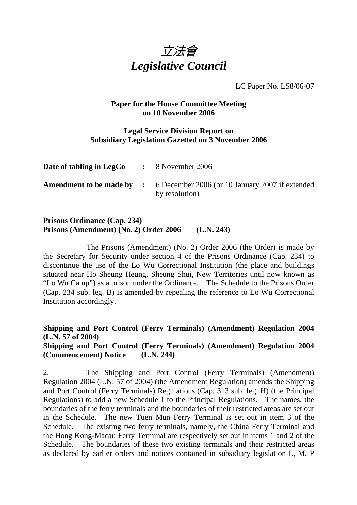

LC Paper No. LS8/06-07

## **Paper for the House Committee Meeting on 10 November 2006**

## **Legal Service Division Report on Subsidiary Legislation Gazetted on 3 November 2006**

| Date of tabling in LegCo | $\therefore$ 8 November 2006                                                                       |
|--------------------------|----------------------------------------------------------------------------------------------------|
|                          | <b>Amendment to be made by :</b> 6 December 2006 (or 10 January 2007 if extended<br>by resolution) |

## **Prisons Ordinance (Cap. 234) Prisons (Amendment) (No. 2) Order 2006 (L.N. 243)**

 The Prisons (Amendment) (No. 2) Order 2006 (the Order) is made by the Secretary for Security under section 4 of the Prisons Ordinance (Cap. 234) to discontinue the use of the Lo Wu Correctional Institution (the place and buildings situated near Ho Sheung Heung, Sheung Shui, New Territories until now known as "Lo Wu Camp") as a prison under the Ordinance. The Schedule to the Prisons Order (Cap. 234 sub. leg. B) is amended by repealing the reference to Lo Wu Correctional Institution accordingly.

**Shipping and Port Control (Ferry Terminals) (Amendment) Regulation 2004 (L.N. 57 of 2004) Shipping and Port Control (Ferry Terminals) (Amendment) Regulation 2004 (Commencement) Notice (L.N. 244)** 

2. The Shipping and Port Control (Ferry Terminals) (Amendment) Regulation 2004 (L.N. 57 of 2004) (the Amendment Regulation) amends the Shipping and Port Control (Ferry Terminals) Regulations (Cap. 313 sub. leg. H) (the Principal Regulations) to add a new Schedule 1 to the Principal Regulations. The names, the boundaries of the ferry terminals and the boundaries of their restricted areas are set out in the Schedule. The new Tuen Mun Ferry Terminal is set out in item 3 of the Schedule. The existing two ferry terminals, namely, the China Ferry Terminal and the Hong Kong-Macau Ferry Terminal are respectively set out in items 1 and 2 of the Schedule. The boundaries of these two existing terminals and their restricted areas as declared by earlier orders and notices contained in subsidiary legislation L, M, P